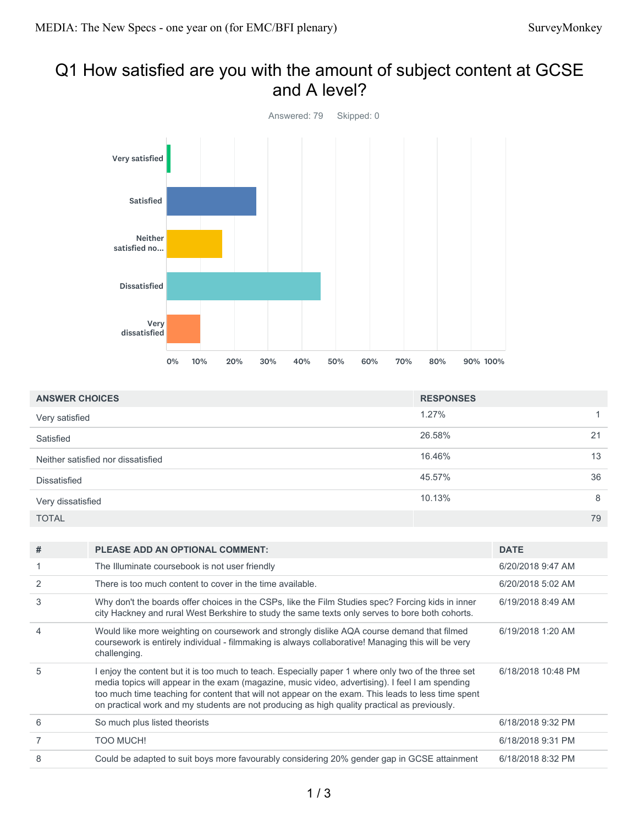## Q1 How satisfied are you with the amount of subject content at GCSE and A level?



| <b>ANSWER CHOICES</b>              | <b>RESPONSES</b> |    |
|------------------------------------|------------------|----|
|                                    |                  |    |
| Very satisfied                     | 1.27%            |    |
| Satisfied                          | 26.58%           | 21 |
| Neither satisfied nor dissatisfied | 16.46%           | 13 |
| <b>Dissatisfied</b>                | 45.57%           | 36 |
| Very dissatisfied                  | 10.13%           | 8  |
| <b>TOTAL</b>                       |                  | 79 |

| #              | <b>PLEASE ADD AN OPTIONAL COMMENT:</b>                                                                                                                                                                                                                                                                                                                                                                       | <b>DATE</b>        |
|----------------|--------------------------------------------------------------------------------------------------------------------------------------------------------------------------------------------------------------------------------------------------------------------------------------------------------------------------------------------------------------------------------------------------------------|--------------------|
|                | The Illuminate coursebook is not user friendly                                                                                                                                                                                                                                                                                                                                                               | 6/20/2018 9:47 AM  |
| $\overline{2}$ | There is too much content to cover in the time available.                                                                                                                                                                                                                                                                                                                                                    | 6/20/2018 5:02 AM  |
| 3              | Why don't the boards offer choices in the CSPs, like the Film Studies spec? Forcing kids in inner<br>city Hackney and rural West Berkshire to study the same texts only serves to bore both cohorts.                                                                                                                                                                                                         | 6/19/2018 8:49 AM  |
| 4              | Would like more weighting on coursework and strongly dislike AQA course demand that filmed<br>coursework is entirely individual - filmmaking is always collaborative! Managing this will be very<br>challenging.                                                                                                                                                                                             | 6/19/2018 1:20 AM  |
| 5              | I enjoy the content but it is too much to teach. Especially paper 1 where only two of the three set<br>media topics will appear in the exam (magazine, music video, advertising). I feel I am spending<br>too much time teaching for content that will not appear on the exam. This leads to less time spent<br>on practical work and my students are not producing as high quality practical as previously. | 6/18/2018 10:48 PM |
| 6              | So much plus listed theorists                                                                                                                                                                                                                                                                                                                                                                                | 6/18/2018 9:32 PM  |
|                | <b>TOO MUCH!</b>                                                                                                                                                                                                                                                                                                                                                                                             | 6/18/2018 9:31 PM  |
| 8              | Could be adapted to suit boys more favourably considering 20% gender gap in GCSE attainment                                                                                                                                                                                                                                                                                                                  | 6/18/2018 8:32 PM  |
|                |                                                                                                                                                                                                                                                                                                                                                                                                              |                    |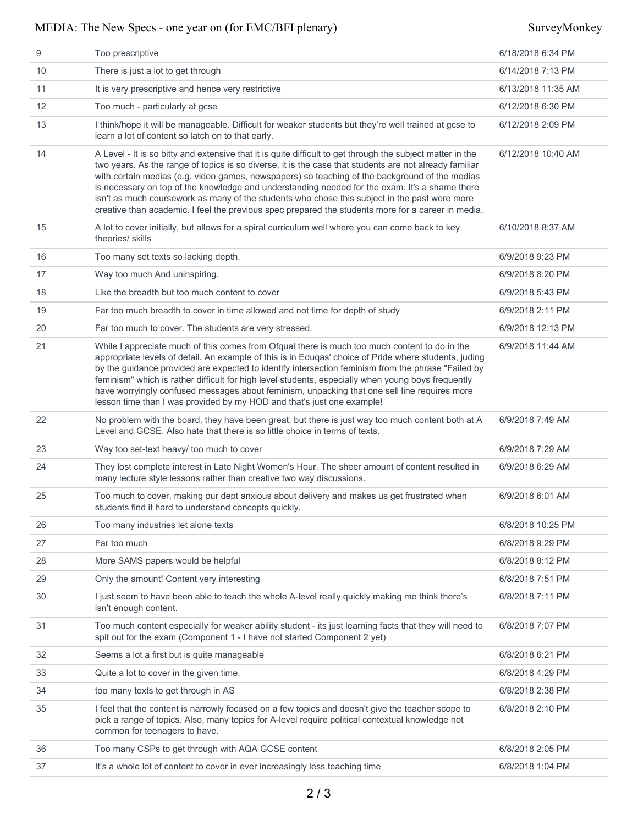| 9  | Too prescriptive                                                                                                                                                                                                                                                                                                                                                                                                                                                                                                                                                                                                                | 6/18/2018 6:34 PM  |
|----|---------------------------------------------------------------------------------------------------------------------------------------------------------------------------------------------------------------------------------------------------------------------------------------------------------------------------------------------------------------------------------------------------------------------------------------------------------------------------------------------------------------------------------------------------------------------------------------------------------------------------------|--------------------|
| 10 | There is just a lot to get through                                                                                                                                                                                                                                                                                                                                                                                                                                                                                                                                                                                              | 6/14/2018 7:13 PM  |
| 11 | It is very prescriptive and hence very restrictive                                                                                                                                                                                                                                                                                                                                                                                                                                                                                                                                                                              | 6/13/2018 11:35 AM |
| 12 | Too much - particularly at gcse                                                                                                                                                                                                                                                                                                                                                                                                                                                                                                                                                                                                 | 6/12/2018 6:30 PM  |
| 13 | I think/hope it will be manageable. Difficult for weaker students but they're well trained at gcse to<br>learn a lot of content so latch on to that early.                                                                                                                                                                                                                                                                                                                                                                                                                                                                      | 6/12/2018 2:09 PM  |
| 14 | A Level - It is so bitty and extensive that it is quite difficult to get through the subject matter in the<br>two years. As the range of topics is so diverse, it is the case that students are not already familiar<br>with certain medias (e.g. video games, newspapers) so teaching of the background of the medias<br>is necessary on top of the knowledge and understanding needed for the exam. It's a shame there<br>isn't as much coursework as many of the students who chose this subject in the past were more<br>creative than academic. I feel the previous spec prepared the students more for a career in media. | 6/12/2018 10:40 AM |
| 15 | A lot to cover initially, but allows for a spiral curriculum well where you can come back to key<br>theories/ skills                                                                                                                                                                                                                                                                                                                                                                                                                                                                                                            | 6/10/2018 8:37 AM  |
| 16 | Too many set texts so lacking depth.                                                                                                                                                                                                                                                                                                                                                                                                                                                                                                                                                                                            | 6/9/2018 9:23 PM   |
| 17 | Way too much And uninspiring.                                                                                                                                                                                                                                                                                                                                                                                                                                                                                                                                                                                                   | 6/9/2018 8:20 PM   |
| 18 | Like the breadth but too much content to cover                                                                                                                                                                                                                                                                                                                                                                                                                                                                                                                                                                                  | 6/9/2018 5:43 PM   |
| 19 | Far too much breadth to cover in time allowed and not time for depth of study                                                                                                                                                                                                                                                                                                                                                                                                                                                                                                                                                   | 6/9/2018 2:11 PM   |
| 20 | Far too much to cover. The students are very stressed.                                                                                                                                                                                                                                                                                                                                                                                                                                                                                                                                                                          | 6/9/2018 12:13 PM  |
| 21 | While I appreciate much of this comes from Ofqual there is much too much content to do in the<br>appropriate levels of detail. An example of this is in Eduqas' choice of Pride where students, juding<br>by the guidance provided are expected to identify intersection feminism from the phrase "Failed by<br>feminism" which is rather difficult for high level students, especially when young boys frequently<br>have worryingly confused messages about feminism, unpacking that one sell line requires more<br>lesson time than I was provided by my HOD and that's just one example!                                    | 6/9/2018 11:44 AM  |
| 22 | No problem with the board, they have been great, but there is just way too much content both at A<br>Level and GCSE. Also hate that there is so little choice in terms of texts.                                                                                                                                                                                                                                                                                                                                                                                                                                                | 6/9/2018 7:49 AM   |
| 23 | Way too set-text heavy/ too much to cover                                                                                                                                                                                                                                                                                                                                                                                                                                                                                                                                                                                       | 6/9/2018 7:29 AM   |
| 24 | They lost complete interest in Late Night Women's Hour. The sheer amount of content resulted in<br>many lecture style lessons rather than creative two way discussions.                                                                                                                                                                                                                                                                                                                                                                                                                                                         | 6/9/2018 6:29 AM   |
| 25 | Too much to cover, making our dept anxious about delivery and makes us get frustrated when<br>students find it hard to understand concepts quickly.                                                                                                                                                                                                                                                                                                                                                                                                                                                                             | 6/9/2018 6:01 AM   |
| 26 | Too many industries let alone texts                                                                                                                                                                                                                                                                                                                                                                                                                                                                                                                                                                                             | 6/8/2018 10:25 PM  |
| 27 | Far too much                                                                                                                                                                                                                                                                                                                                                                                                                                                                                                                                                                                                                    | 6/8/2018 9:29 PM   |
| 28 | More SAMS papers would be helpful                                                                                                                                                                                                                                                                                                                                                                                                                                                                                                                                                                                               | 6/8/2018 8:12 PM   |
| 29 | Only the amount! Content very interesting                                                                                                                                                                                                                                                                                                                                                                                                                                                                                                                                                                                       | 6/8/2018 7:51 PM   |
| 30 | I just seem to have been able to teach the whole A-level really quickly making me think there's<br>isn't enough content.                                                                                                                                                                                                                                                                                                                                                                                                                                                                                                        | 6/8/2018 7:11 PM   |
| 31 | Too much content especially for weaker ability student - its just learning facts that they will need to<br>spit out for the exam (Component 1 - I have not started Component 2 yet)                                                                                                                                                                                                                                                                                                                                                                                                                                             | 6/8/2018 7:07 PM   |
| 32 | Seems a lot a first but is quite manageable                                                                                                                                                                                                                                                                                                                                                                                                                                                                                                                                                                                     | 6/8/2018 6:21 PM   |
| 33 | Quite a lot to cover in the given time.                                                                                                                                                                                                                                                                                                                                                                                                                                                                                                                                                                                         | 6/8/2018 4:29 PM   |
| 34 | too many texts to get through in AS                                                                                                                                                                                                                                                                                                                                                                                                                                                                                                                                                                                             | 6/8/2018 2:38 PM   |
| 35 | I feel that the content is narrowly focused on a few topics and doesn't give the teacher scope to<br>pick a range of topics. Also, many topics for A-level require political contextual knowledge not<br>common for teenagers to have.                                                                                                                                                                                                                                                                                                                                                                                          | 6/8/2018 2:10 PM   |
| 36 | Too many CSPs to get through with AQA GCSE content                                                                                                                                                                                                                                                                                                                                                                                                                                                                                                                                                                              | 6/8/2018 2:05 PM   |
| 37 | It's a whole lot of content to cover in ever increasingly less teaching time                                                                                                                                                                                                                                                                                                                                                                                                                                                                                                                                                    | 6/8/2018 1:04 PM   |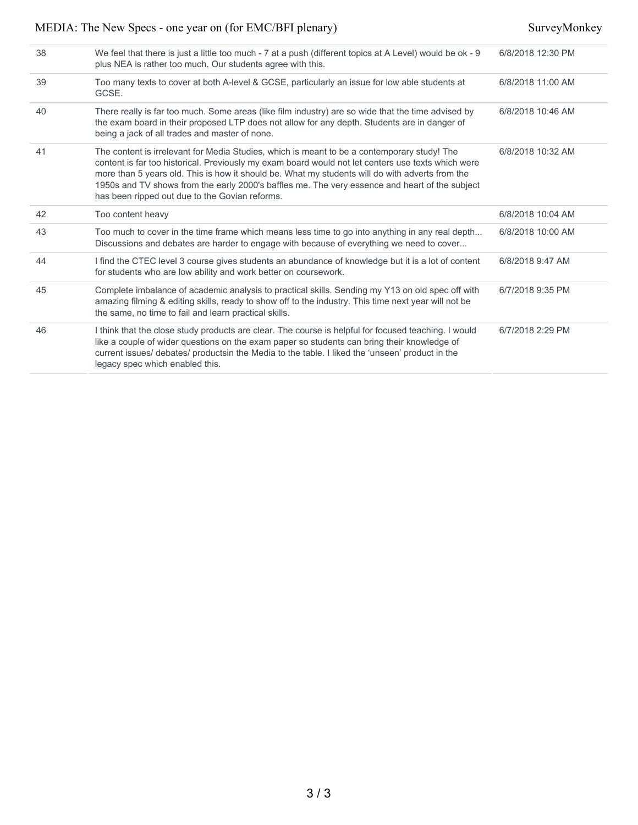| 38 | We feel that there is just a little too much - 7 at a push (different topics at A Level) would be ok - 9<br>plus NEA is rather too much. Our students agree with this.                                                                                                                                                                                                                                                                                   | 6/8/2018 12:30 PM |
|----|----------------------------------------------------------------------------------------------------------------------------------------------------------------------------------------------------------------------------------------------------------------------------------------------------------------------------------------------------------------------------------------------------------------------------------------------------------|-------------------|
| 39 | Too many texts to cover at both A-level & GCSE, particularly an issue for low able students at<br>GCSE.                                                                                                                                                                                                                                                                                                                                                  | 6/8/2018 11:00 AM |
| 40 | There really is far too much. Some areas (like film industry) are so wide that the time advised by<br>the exam board in their proposed LTP does not allow for any depth. Students are in danger of<br>being a jack of all trades and master of none.                                                                                                                                                                                                     | 6/8/2018 10:46 AM |
| 41 | The content is irrelevant for Media Studies, which is meant to be a contemporary study! The<br>content is far too historical. Previously my exam board would not let centers use texts which were<br>more than 5 years old. This is how it should be. What my students will do with adverts from the<br>1950s and TV shows from the early 2000's baffles me. The very essence and heart of the subject<br>has been ripped out due to the Govian reforms. | 6/8/2018 10:32 AM |
| 42 | Too content heavy                                                                                                                                                                                                                                                                                                                                                                                                                                        | 6/8/2018 10:04 AM |
| 43 | Too much to cover in the time frame which means less time to go into anything in any real depth<br>Discussions and debates are harder to engage with because of everything we need to cover                                                                                                                                                                                                                                                              | 6/8/2018 10:00 AM |
| 44 | I find the CTEC level 3 course gives students an abundance of knowledge but it is a lot of content<br>for students who are low ability and work better on coursework.                                                                                                                                                                                                                                                                                    | 6/8/2018 9:47 AM  |
| 45 | Complete imbalance of academic analysis to practical skills. Sending my Y13 on old spec off with<br>amazing filming & editing skills, ready to show off to the industry. This time next year will not be<br>the same, no time to fail and learn practical skills.                                                                                                                                                                                        | 6/7/2018 9:35 PM  |
| 46 | I think that the close study products are clear. The course is helpful for focused teaching. I would<br>like a couple of wider questions on the exam paper so students can bring their knowledge of<br>current issues/ debates/ productsin the Media to the table. I liked the 'unseen' product in the<br>legacy spec which enabled this.                                                                                                                | 6/7/2018 2:29 PM  |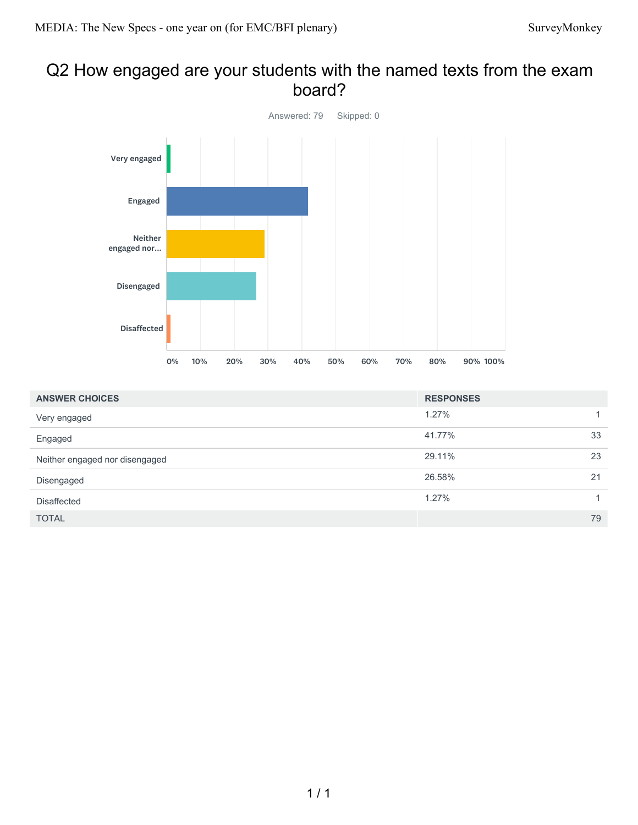## Q2 How engaged are your students with the named texts from the exam board?



| <b>ANSWER CHOICES</b>          | <b>RESPONSES</b> |                |
|--------------------------------|------------------|----------------|
| Very engaged                   | 1.27%            |                |
| Engaged                        | 41.77%           | 33             |
| Neither engaged nor disengaged | 29.11%           | 23             |
| Disengaged                     | 26.58%           | 21             |
| <b>Disaffected</b>             | 1.27%            | $\overline{1}$ |
| <b>TOTAL</b>                   |                  | 79             |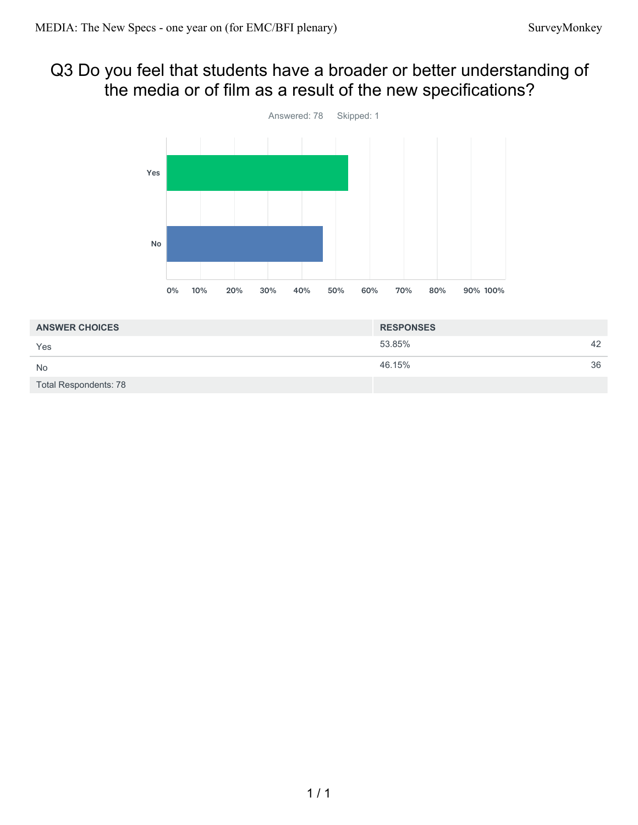## Q3 Do you feel that students have a broader or better understanding of the media or of film as a result of the new specifications?



| <b>ANSWER CHOICES</b> | <b>RESPONSES</b> |    |
|-----------------------|------------------|----|
| Yes                   | 53.85%           | 42 |
| <b>No</b>             | 46.15%           | 36 |
| Total Respondents: 78 |                  |    |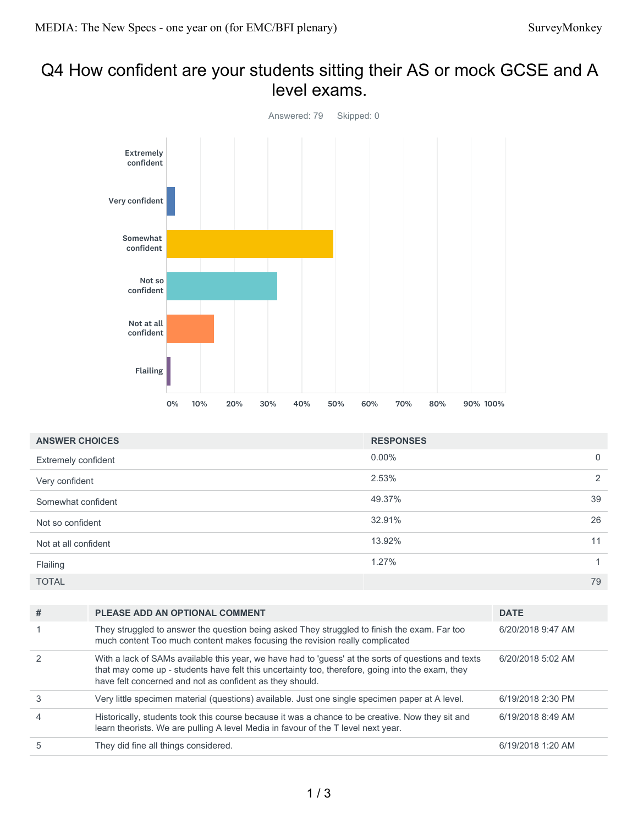## Q4 How confident are your students sitting their AS or mock GCSE and A level exams.



| <b>ANSWER CHOICES</b> | <b>RESPONSES</b> |                |
|-----------------------|------------------|----------------|
| Extremely confident   | $0.00\%$         | $\overline{0}$ |
| Very confident        | 2.53%            | 2              |
| Somewhat confident    | 49.37%           | 39             |
| Not so confident      | 32.91%           | 26             |
| Not at all confident  | 13.92%           | 11             |
| Flailing              | 1.27%            | 1              |
| <b>TOTAL</b>          |                  | 79             |

| # | <b>PLEASE ADD AN OPTIONAL COMMENT</b>                                                                                                                                                                                                                               | <b>DATE</b>       |
|---|---------------------------------------------------------------------------------------------------------------------------------------------------------------------------------------------------------------------------------------------------------------------|-------------------|
|   | They struggled to answer the question being asked They struggled to finish the exam. Far too<br>much content Too much content makes focusing the revision really complicated                                                                                        | 6/20/2018 9:47 AM |
| 2 | With a lack of SAMs available this year, we have had to 'guess' at the sorts of questions and texts<br>that may come up - students have felt this uncertainty too, therefore, going into the exam, they<br>have felt concerned and not as confident as they should. | 6/20/2018 5:02 AM |
|   | Very little specimen material (questions) available. Just one single specimen paper at A level.                                                                                                                                                                     | 6/19/2018 2:30 PM |
|   | Historically, students took this course because it was a chance to be creative. Now they sit and<br>learn theorists. We are pulling A level Media in favour of the T level next year.                                                                               | 6/19/2018 8:49 AM |
|   | They did fine all things considered.                                                                                                                                                                                                                                | 6/19/2018 1:20 AM |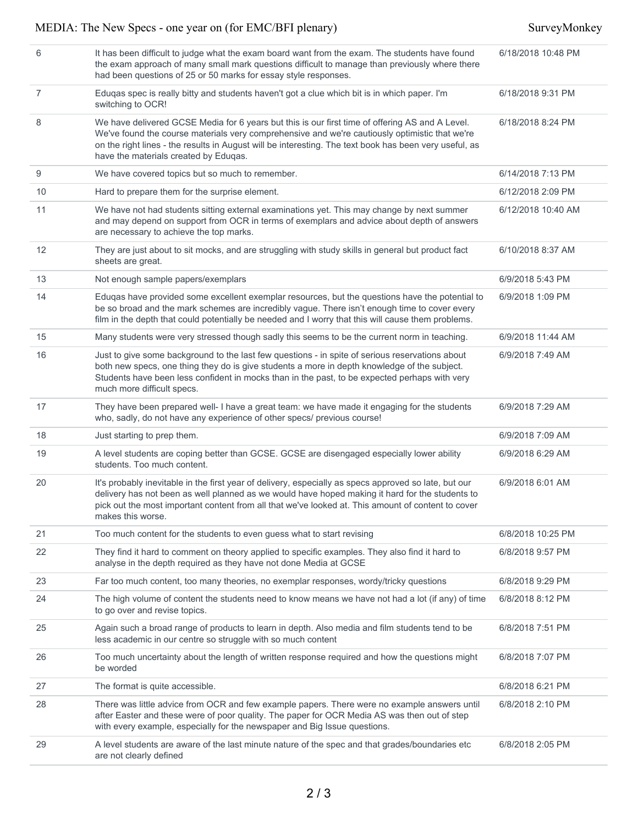| 6  | It has been difficult to judge what the exam board want from the exam. The students have found<br>the exam approach of many small mark questions difficult to manage than previously where there<br>had been questions of 25 or 50 marks for essay style responses.                                                                                  | 6/18/2018 10:48 PM |
|----|------------------------------------------------------------------------------------------------------------------------------------------------------------------------------------------------------------------------------------------------------------------------------------------------------------------------------------------------------|--------------------|
| 7  | Eduqas spec is really bitty and students haven't got a clue which bit is in which paper. I'm<br>switching to OCR!                                                                                                                                                                                                                                    | 6/18/2018 9:31 PM  |
| 8  | We have delivered GCSE Media for 6 years but this is our first time of offering AS and A Level.<br>We've found the course materials very comprehensive and we're cautiously optimistic that we're<br>on the right lines - the results in August will be interesting. The text book has been very useful, as<br>have the materials created by Eduqas. | 6/18/2018 8:24 PM  |
| 9  | We have covered topics but so much to remember.                                                                                                                                                                                                                                                                                                      | 6/14/2018 7:13 PM  |
| 10 | Hard to prepare them for the surprise element.                                                                                                                                                                                                                                                                                                       | 6/12/2018 2:09 PM  |
| 11 | We have not had students sitting external examinations yet. This may change by next summer<br>and may depend on support from OCR in terms of exemplars and advice about depth of answers<br>are necessary to achieve the top marks.                                                                                                                  | 6/12/2018 10:40 AM |
| 12 | They are just about to sit mocks, and are struggling with study skills in general but product fact<br>sheets are great.                                                                                                                                                                                                                              | 6/10/2018 8:37 AM  |
| 13 | Not enough sample papers/exemplars                                                                                                                                                                                                                                                                                                                   | 6/9/2018 5:43 PM   |
| 14 | Eduqas have provided some excellent exemplar resources, but the questions have the potential to<br>be so broad and the mark schemes are incredibly vague. There isn't enough time to cover every<br>film in the depth that could potentially be needed and I worry that this will cause them problems.                                               | 6/9/2018 1:09 PM   |
| 15 | Many students were very stressed though sadly this seems to be the current norm in teaching.                                                                                                                                                                                                                                                         | 6/9/2018 11:44 AM  |
| 16 | Just to give some background to the last few questions - in spite of serious reservations about<br>both new specs, one thing they do is give students a more in depth knowledge of the subject.<br>Students have been less confident in mocks than in the past, to be expected perhaps with very<br>much more difficult specs.                       | 6/9/2018 7:49 AM   |
| 17 | They have been prepared well- I have a great team: we have made it engaging for the students<br>who, sadly, do not have any experience of other specs/ previous course!                                                                                                                                                                              | 6/9/2018 7:29 AM   |
| 18 | Just starting to prep them.                                                                                                                                                                                                                                                                                                                          | 6/9/2018 7:09 AM   |
| 19 | A level students are coping better than GCSE. GCSE are disengaged especially lower ability<br>students. Too much content.                                                                                                                                                                                                                            | 6/9/2018 6:29 AM   |
| 20 | It's probably inevitable in the first year of delivery, especially as specs approved so late, but our<br>delivery has not been as well planned as we would have hoped making it hard for the students to<br>pick out the most important content from all that we've looked at. This amount of content to cover<br>makes this worse.                  | 6/9/2018 6:01 AM   |
| 21 | Too much content for the students to even guess what to start revising                                                                                                                                                                                                                                                                               | 6/8/2018 10:25 PM  |
| 22 | They find it hard to comment on theory applied to specific examples. They also find it hard to<br>analyse in the depth required as they have not done Media at GCSE                                                                                                                                                                                  | 6/8/2018 9:57 PM   |
| 23 | Far too much content, too many theories, no exemplar responses, wordy/tricky questions                                                                                                                                                                                                                                                               | 6/8/2018 9:29 PM   |
| 24 | The high volume of content the students need to know means we have not had a lot (if any) of time<br>to go over and revise topics.                                                                                                                                                                                                                   | 6/8/2018 8:12 PM   |
| 25 | Again such a broad range of products to learn in depth. Also media and film students tend to be<br>less academic in our centre so struggle with so much content                                                                                                                                                                                      | 6/8/2018 7:51 PM   |
| 26 | Too much uncertainty about the length of written response required and how the questions might<br>be worded                                                                                                                                                                                                                                          | 6/8/2018 7:07 PM   |
| 27 | The format is quite accessible.                                                                                                                                                                                                                                                                                                                      | 6/8/2018 6:21 PM   |
| 28 | There was little advice from OCR and few example papers. There were no example answers until<br>after Easter and these were of poor quality. The paper for OCR Media AS was then out of step<br>with every example, especially for the newspaper and Big Issue questions.                                                                            | 6/8/2018 2:10 PM   |
| 29 | A level students are aware of the last minute nature of the spec and that grades/boundaries etc<br>are not clearly defined                                                                                                                                                                                                                           | 6/8/2018 2:05 PM   |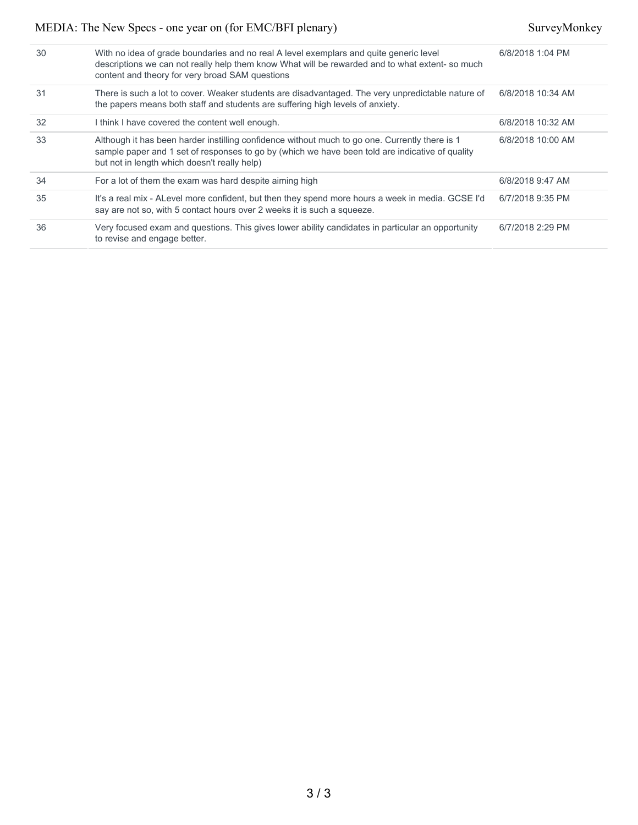| 30 | With no idea of grade boundaries and no real A level exemplars and quite generic level<br>descriptions we can not really help them know What will be rewarded and to what extent-so much<br>content and theory for very broad SAM questions       | 6/8/2018 1:04 PM  |
|----|---------------------------------------------------------------------------------------------------------------------------------------------------------------------------------------------------------------------------------------------------|-------------------|
| 31 | There is such a lot to cover. Weaker students are disadvantaged. The very unpredictable nature of<br>the papers means both staff and students are suffering high levels of anxiety.                                                               | 6/8/2018 10:34 AM |
| 32 | I think I have covered the content well enough.                                                                                                                                                                                                   | 6/8/2018 10:32 AM |
| 33 | Although it has been harder instilling confidence without much to go one. Currently there is 1<br>sample paper and 1 set of responses to go by (which we have been told are indicative of quality<br>but not in length which doesn't really help) | 6/8/2018 10:00 AM |
| 34 | For a lot of them the exam was hard despite aiming high                                                                                                                                                                                           | 6/8/2018 9:47 AM  |
| 35 | It's a real mix - ALevel more confident, but then they spend more hours a week in media. GCSE I'd<br>say are not so, with 5 contact hours over 2 weeks it is such a squeeze.                                                                      | 6/7/2018 9:35 PM  |
| 36 | Very focused exam and questions. This gives lower ability candidates in particular an opportunity<br>to revise and engage better.                                                                                                                 | 6/7/2018 2:29 PM  |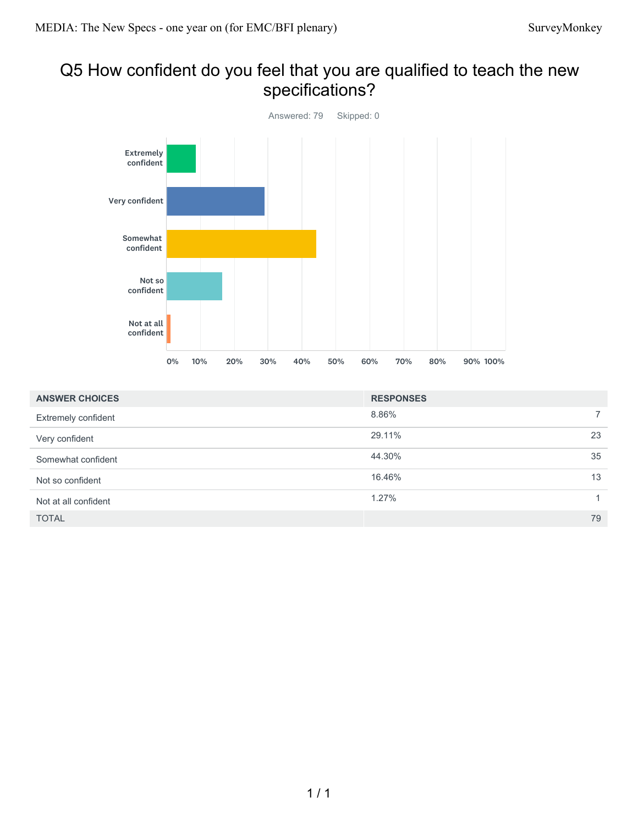## Q5 How confident do you feel that you are qualified to teach the new specifications?



| <b>ANSWER CHOICES</b> | <b>RESPONSES</b> |             |
|-----------------------|------------------|-------------|
| Extremely confident   | 8.86%            | $7^{\circ}$ |
| Very confident        | 29.11%           | 23          |
| Somewhat confident    | 44.30%           | 35          |
| Not so confident      | 16.46%           | 13          |
| Not at all confident  | 1.27%            |             |
| <b>TOTAL</b>          |                  | 79          |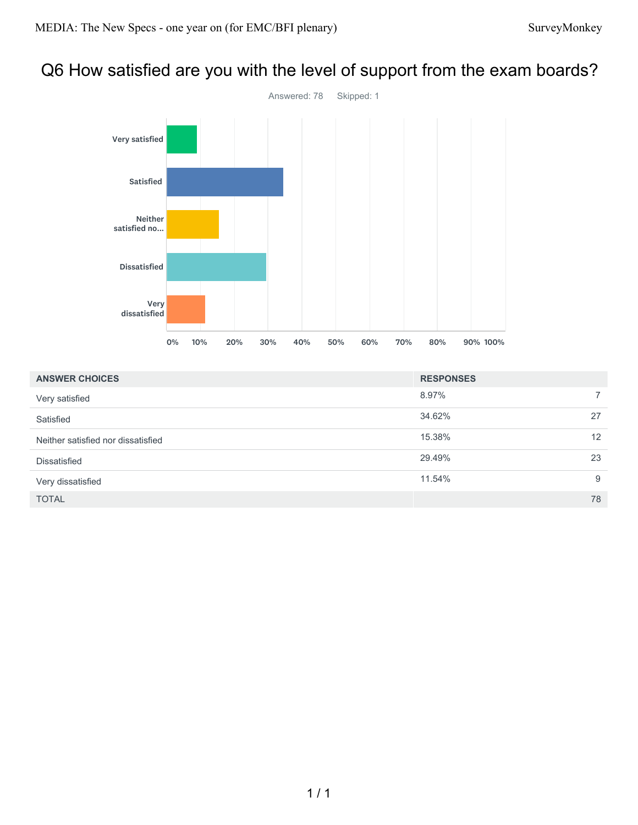# Q6 How satisfied are you with the level of support from the exam boards?



| <b>ANSWER CHOICES</b>              | <b>RESPONSES</b> |             |
|------------------------------------|------------------|-------------|
| Very satisfied                     | 8.97%            | $7^{\circ}$ |
| Satisfied                          | 34.62%           | 27          |
| Neither satisfied nor dissatisfied | 15.38%           | 12          |
| <b>Dissatisfied</b>                | 29.49%           | 23          |
| Very dissatisfied                  | 11.54%           | 9           |
| <b>TOTAL</b>                       |                  | 78          |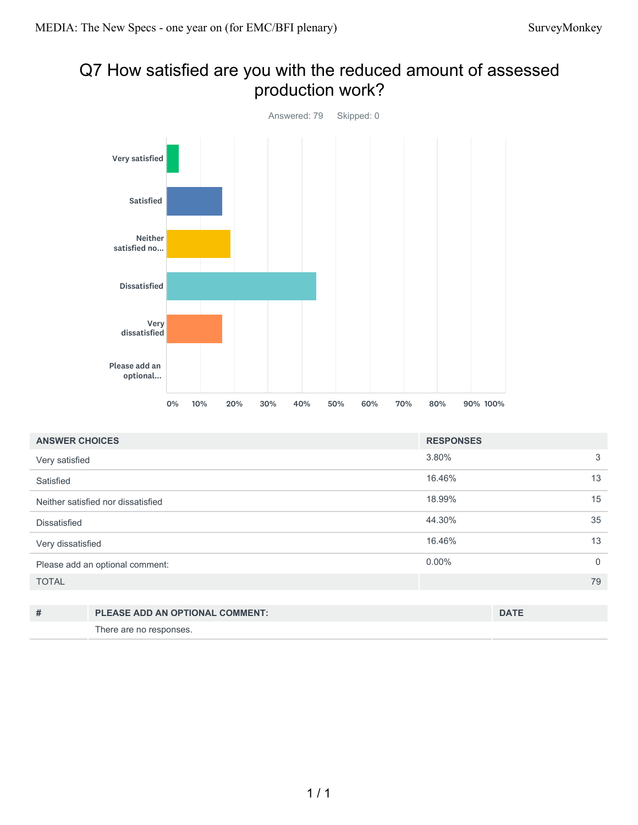## Q7 How satisfied are you with the reduced amount of assessed production work?

![](_page_10_Figure_3.jpeg)

| <b>ANSWER CHOICES</b>           |                                        | <b>RESPONSES</b> |             |             |
|---------------------------------|----------------------------------------|------------------|-------------|-------------|
| Very satisfied                  |                                        | 3.80%            |             | 3           |
| Satisfied                       |                                        | 16.46%           |             | 13          |
|                                 | Neither satisfied nor dissatisfied     | 18.99%           |             | 15          |
| <b>Dissatisfied</b>             |                                        | 44.30%           |             | 35          |
| Very dissatisfied               |                                        | 16.46%           |             | 13          |
| Please add an optional comment: |                                        | $0.00\%$         |             | $\mathbf 0$ |
| <b>TOTAL</b>                    |                                        |                  |             | 79          |
|                                 |                                        |                  |             |             |
| #                               | <b>PLEASE ADD AN OPTIONAL COMMENT:</b> |                  | <b>DATE</b> |             |

There are no responses.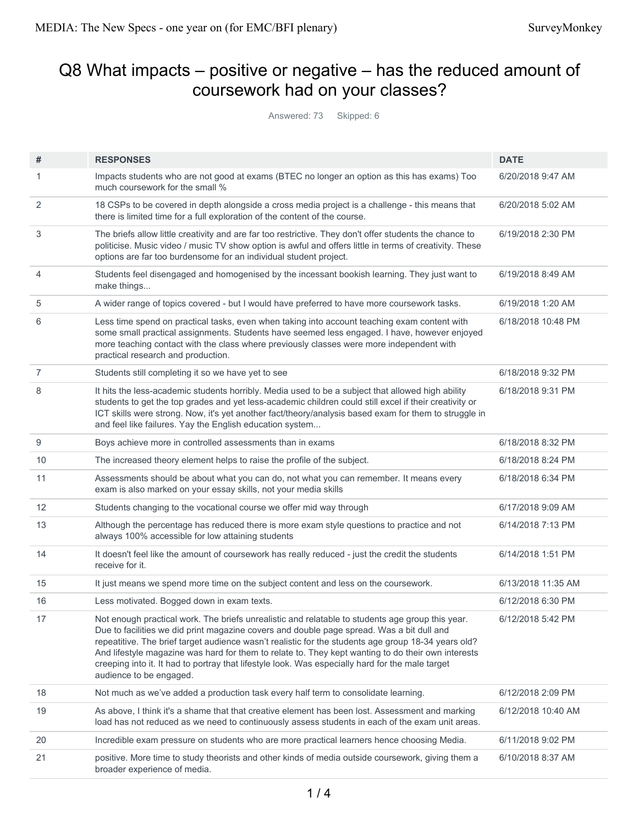# Q8 What impacts – positive or negative – has the reduced amount of coursework had on your classes?

Answered: 73 Skipped: 6

| #              | <b>RESPONSES</b>                                                                                                                                                                                                                                                                                                                                                                                                                                                                                                                          | <b>DATE</b>        |
|----------------|-------------------------------------------------------------------------------------------------------------------------------------------------------------------------------------------------------------------------------------------------------------------------------------------------------------------------------------------------------------------------------------------------------------------------------------------------------------------------------------------------------------------------------------------|--------------------|
| 1              | Impacts students who are not good at exams (BTEC no longer an option as this has exams) Too<br>much coursework for the small %                                                                                                                                                                                                                                                                                                                                                                                                            | 6/20/2018 9:47 AM  |
| 2              | 18 CSPs to be covered in depth alongside a cross media project is a challenge - this means that<br>there is limited time for a full exploration of the content of the course.                                                                                                                                                                                                                                                                                                                                                             | 6/20/2018 5:02 AM  |
| 3              | The briefs allow little creativity and are far too restrictive. They don't offer students the chance to<br>politicise. Music video / music TV show option is awful and offers little in terms of creativity. These<br>options are far too burdensome for an individual student project.                                                                                                                                                                                                                                                   | 6/19/2018 2:30 PM  |
| 4              | Students feel disengaged and homogenised by the incessant bookish learning. They just want to<br>make things                                                                                                                                                                                                                                                                                                                                                                                                                              | 6/19/2018 8:49 AM  |
| 5              | A wider range of topics covered - but I would have preferred to have more coursework tasks.                                                                                                                                                                                                                                                                                                                                                                                                                                               | 6/19/2018 1:20 AM  |
| 6              | Less time spend on practical tasks, even when taking into account teaching exam content with<br>some small practical assignments. Students have seemed less engaged. I have, however enjoyed<br>more teaching contact with the class where previously classes were more independent with<br>practical research and production.                                                                                                                                                                                                            | 6/18/2018 10:48 PM |
| $\overline{7}$ | Students still completing it so we have yet to see                                                                                                                                                                                                                                                                                                                                                                                                                                                                                        | 6/18/2018 9:32 PM  |
| 8              | It hits the less-academic students horribly. Media used to be a subject that allowed high ability<br>students to get the top grades and yet less-academic children could still excel if their creativity or<br>ICT skills were strong. Now, it's yet another fact/theory/analysis based exam for them to struggle in<br>and feel like failures. Yay the English education system                                                                                                                                                          | 6/18/2018 9:31 PM  |
| 9              | Boys achieve more in controlled assessments than in exams                                                                                                                                                                                                                                                                                                                                                                                                                                                                                 | 6/18/2018 8:32 PM  |
| 10             | The increased theory element helps to raise the profile of the subject.                                                                                                                                                                                                                                                                                                                                                                                                                                                                   | 6/18/2018 8:24 PM  |
| 11             | Assessments should be about what you can do, not what you can remember. It means every<br>exam is also marked on your essay skills, not your media skills                                                                                                                                                                                                                                                                                                                                                                                 | 6/18/2018 6:34 PM  |
| 12             | Students changing to the vocational course we offer mid way through                                                                                                                                                                                                                                                                                                                                                                                                                                                                       | 6/17/2018 9:09 AM  |
| 13             | Although the percentage has reduced there is more exam style questions to practice and not<br>always 100% accessible for low attaining students                                                                                                                                                                                                                                                                                                                                                                                           | 6/14/2018 7:13 PM  |
| 14             | It doesn't feel like the amount of coursework has really reduced - just the credit the students<br>receive for it.                                                                                                                                                                                                                                                                                                                                                                                                                        | 6/14/2018 1:51 PM  |
| 15             | It just means we spend more time on the subject content and less on the coursework.                                                                                                                                                                                                                                                                                                                                                                                                                                                       | 6/13/2018 11:35 AM |
| 16             | Less motivated. Bogged down in exam texts.                                                                                                                                                                                                                                                                                                                                                                                                                                                                                                | 6/12/2018 6:30 PM  |
| 17             | Not enough practical work. The briefs unrealistic and relatable to students age group this year.<br>Due to facilities we did print magazine covers and double page spread. Was a bit dull and<br>repeatitive. The brief target audience wasn't realistic for the students age group 18-34 years old?<br>And lifestyle magazine was hard for them to relate to. They kept wanting to do their own interests<br>creeping into it. It had to portray that lifestyle look. Was especially hard for the male target<br>audience to be engaged. | 6/12/2018 5:42 PM  |
| 18             | Not much as we've added a production task every half term to consolidate learning.                                                                                                                                                                                                                                                                                                                                                                                                                                                        | 6/12/2018 2:09 PM  |
| 19             | As above, I think it's a shame that that creative element has been lost. Assessment and marking<br>load has not reduced as we need to continuously assess students in each of the exam unit areas.                                                                                                                                                                                                                                                                                                                                        | 6/12/2018 10:40 AM |
| 20             | Incredible exam pressure on students who are more practical learners hence choosing Media.                                                                                                                                                                                                                                                                                                                                                                                                                                                | 6/11/2018 9:02 PM  |
| 21             | positive. More time to study theorists and other kinds of media outside coursework, giving them a<br>broader experience of media.                                                                                                                                                                                                                                                                                                                                                                                                         | 6/10/2018 8:37 AM  |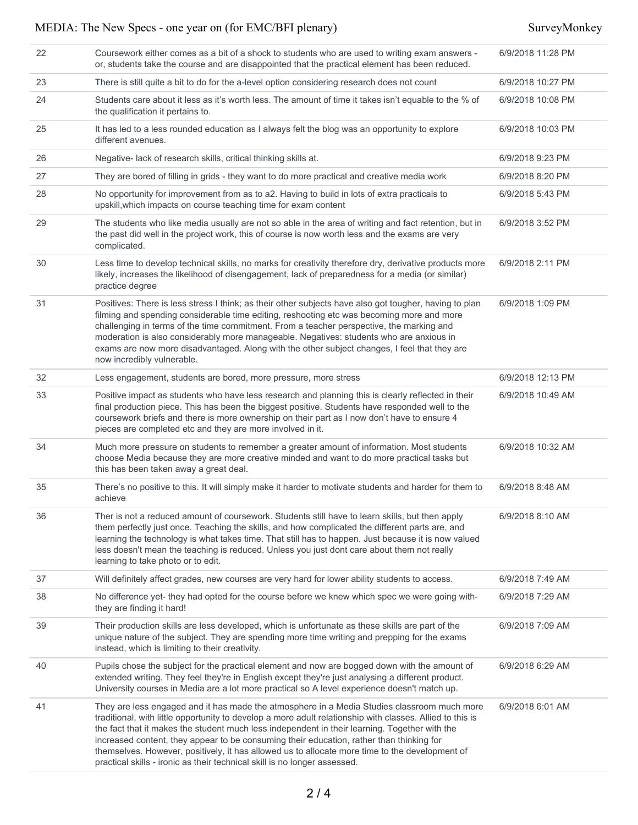| 22 | Coursework either comes as a bit of a shock to students who are used to writing exam answers -<br>or, students take the course and are disappointed that the practical element has been reduced.                                                                                                                                                                                                                                                                                                                                                                                     | 6/9/2018 11:28 PM |
|----|--------------------------------------------------------------------------------------------------------------------------------------------------------------------------------------------------------------------------------------------------------------------------------------------------------------------------------------------------------------------------------------------------------------------------------------------------------------------------------------------------------------------------------------------------------------------------------------|-------------------|
| 23 | There is still quite a bit to do for the a-level option considering research does not count                                                                                                                                                                                                                                                                                                                                                                                                                                                                                          | 6/9/2018 10:27 PM |
| 24 | Students care about it less as it's worth less. The amount of time it takes isn't equable to the % of<br>the qualification it pertains to.                                                                                                                                                                                                                                                                                                                                                                                                                                           | 6/9/2018 10:08 PM |
| 25 | It has led to a less rounded education as I always felt the blog was an opportunity to explore<br>different avenues.                                                                                                                                                                                                                                                                                                                                                                                                                                                                 | 6/9/2018 10:03 PM |
| 26 | Negative- lack of research skills, critical thinking skills at.                                                                                                                                                                                                                                                                                                                                                                                                                                                                                                                      | 6/9/2018 9:23 PM  |
| 27 | They are bored of filling in grids - they want to do more practical and creative media work                                                                                                                                                                                                                                                                                                                                                                                                                                                                                          | 6/9/2018 8:20 PM  |
| 28 | No opportunity for improvement from as to a2. Having to build in lots of extra practicals to<br>upskill, which impacts on course teaching time for exam content                                                                                                                                                                                                                                                                                                                                                                                                                      | 6/9/2018 5:43 PM  |
| 29 | The students who like media usually are not so able in the area of writing and fact retention, but in<br>the past did well in the project work, this of course is now worth less and the exams are very<br>complicated.                                                                                                                                                                                                                                                                                                                                                              | 6/9/2018 3:52 PM  |
| 30 | Less time to develop technical skills, no marks for creativity therefore dry, derivative products more<br>likely, increases the likelihood of disengagement, lack of preparedness for a media (or similar)<br>practice degree                                                                                                                                                                                                                                                                                                                                                        | 6/9/2018 2:11 PM  |
| 31 | Positives: There is less stress I think; as their other subjects have also got tougher, having to plan<br>filming and spending considerable time editing, reshooting etc was becoming more and more<br>challenging in terms of the time commitment. From a teacher perspective, the marking and<br>moderation is also considerably more manageable. Negatives: students who are anxious in<br>exams are now more disadvantaged. Along with the other subject changes, I feel that they are<br>now incredibly vulnerable.                                                             | 6/9/2018 1:09 PM  |
| 32 | Less engagement, students are bored, more pressure, more stress                                                                                                                                                                                                                                                                                                                                                                                                                                                                                                                      | 6/9/2018 12:13 PM |
| 33 | Positive impact as students who have less research and planning this is clearly reflected in their<br>final production piece. This has been the biggest positive. Students have responded well to the<br>coursework briefs and there is more ownership on their part as I now don't have to ensure 4<br>pieces are completed etc and they are more involved in it.                                                                                                                                                                                                                   | 6/9/2018 10:49 AM |
| 34 | Much more pressure on students to remember a greater amount of information. Most students<br>choose Media because they are more creative minded and want to do more practical tasks but<br>this has been taken away a great deal.                                                                                                                                                                                                                                                                                                                                                    | 6/9/2018 10:32 AM |
| 35 | There's no positive to this. It will simply make it harder to motivate students and harder for them to<br>achieve                                                                                                                                                                                                                                                                                                                                                                                                                                                                    | 6/9/2018 8:48 AM  |
| 36 | Ther is not a reduced amount of coursework. Students still have to learn skills, but then apply<br>them perfectly just once. Teaching the skills, and how complicated the different parts are, and<br>learning the technology is what takes time. That still has to happen. Just because it is now valued<br>less doesn't mean the teaching is reduced. Unless you just dont care about them not really<br>learning to take photo or to edit.                                                                                                                                        | 6/9/2018 8:10 AM  |
| 37 | Will definitely affect grades, new courses are very hard for lower ability students to access.                                                                                                                                                                                                                                                                                                                                                                                                                                                                                       | 6/9/2018 7:49 AM  |
| 38 | No difference yet- they had opted for the course before we knew which spec we were going with-<br>they are finding it hard!                                                                                                                                                                                                                                                                                                                                                                                                                                                          | 6/9/2018 7:29 AM  |
| 39 | Their production skills are less developed, which is unfortunate as these skills are part of the<br>unique nature of the subject. They are spending more time writing and prepping for the exams<br>instead, which is limiting to their creativity.                                                                                                                                                                                                                                                                                                                                  | 6/9/2018 7:09 AM  |
| 40 | Pupils chose the subject for the practical element and now are bogged down with the amount of<br>extended writing. They feel they're in English except they're just analysing a different product.<br>University courses in Media are a lot more practical so A level experience doesn't match up.                                                                                                                                                                                                                                                                                   | 6/9/2018 6:29 AM  |
| 41 | They are less engaged and it has made the atmosphere in a Media Studies classroom much more<br>traditional, with little opportunity to develop a more adult relationship with classes. Allied to this is<br>the fact that it makes the student much less independent in their learning. Together with the<br>increased content, they appear to be consuming their education, rather than thinking for<br>themselves. However, positively, it has allowed us to allocate more time to the development of<br>practical skills - ironic as their technical skill is no longer assessed. | 6/9/2018 6:01 AM  |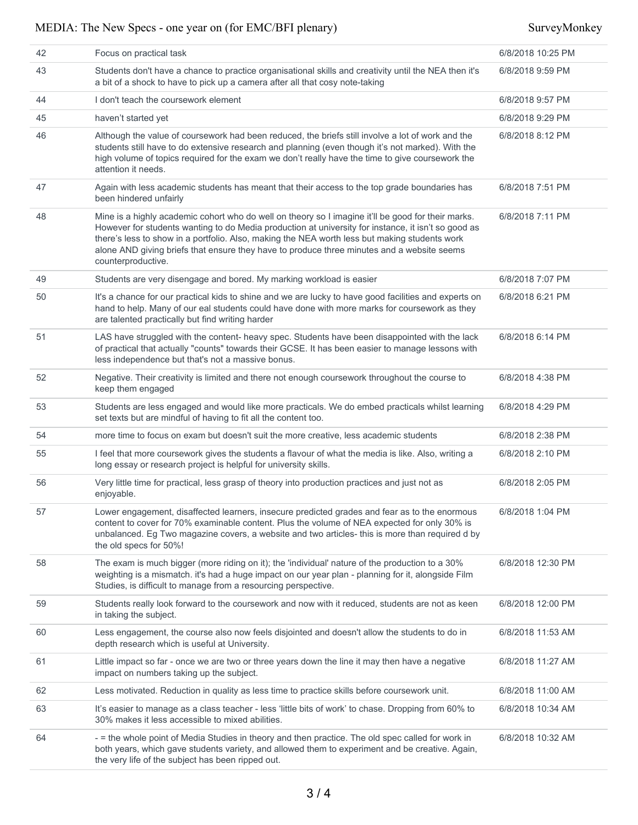| 42 | Focus on practical task                                                                                                                                                                                                                                                                                                                                                                                                        | 6/8/2018 10:25 PM |
|----|--------------------------------------------------------------------------------------------------------------------------------------------------------------------------------------------------------------------------------------------------------------------------------------------------------------------------------------------------------------------------------------------------------------------------------|-------------------|
| 43 | Students don't have a chance to practice organisational skills and creativity until the NEA then it's<br>a bit of a shock to have to pick up a camera after all that cosy note-taking                                                                                                                                                                                                                                          | 6/8/2018 9:59 PM  |
| 44 | I don't teach the coursework element                                                                                                                                                                                                                                                                                                                                                                                           | 6/8/2018 9:57 PM  |
| 45 | haven't started yet                                                                                                                                                                                                                                                                                                                                                                                                            | 6/8/2018 9:29 PM  |
| 46 | Although the value of coursework had been reduced, the briefs still involve a lot of work and the<br>students still have to do extensive research and planning (even though it's not marked). With the<br>high volume of topics required for the exam we don't really have the time to give coursework the<br>attention it needs.                                                                                              | 6/8/2018 8:12 PM  |
| 47 | Again with less academic students has meant that their access to the top grade boundaries has<br>been hindered unfairly                                                                                                                                                                                                                                                                                                        | 6/8/2018 7:51 PM  |
| 48 | Mine is a highly academic cohort who do well on theory so I imagine it'll be good for their marks.<br>However for students wanting to do Media production at university for instance, it isn't so good as<br>there's less to show in a portfolio. Also, making the NEA worth less but making students work<br>alone AND giving briefs that ensure they have to produce three minutes and a website seems<br>counterproductive. | 6/8/2018 7:11 PM  |
| 49 | Students are very disengage and bored. My marking workload is easier                                                                                                                                                                                                                                                                                                                                                           | 6/8/2018 7:07 PM  |
| 50 | It's a chance for our practical kids to shine and we are lucky to have good facilities and experts on<br>hand to help. Many of our eal students could have done with more marks for coursework as they<br>are talented practically but find writing harder                                                                                                                                                                     | 6/8/2018 6:21 PM  |
| 51 | LAS have struggled with the content- heavy spec. Students have been disappointed with the lack<br>of practical that actually "counts" towards their GCSE. It has been easier to manage lessons with<br>less independence but that's not a massive bonus.                                                                                                                                                                       | 6/8/2018 6:14 PM  |
| 52 | Negative. Their creativity is limited and there not enough coursework throughout the course to<br>keep them engaged                                                                                                                                                                                                                                                                                                            | 6/8/2018 4:38 PM  |
| 53 | Students are less engaged and would like more practicals. We do embed practicals whilst learning<br>set texts but are mindful of having to fit all the content too.                                                                                                                                                                                                                                                            | 6/8/2018 4:29 PM  |
| 54 | more time to focus on exam but doesn't suit the more creative, less academic students                                                                                                                                                                                                                                                                                                                                          | 6/8/2018 2:38 PM  |
| 55 | I feel that more coursework gives the students a flavour of what the media is like. Also, writing a<br>long essay or research project is helpful for university skills.                                                                                                                                                                                                                                                        | 6/8/2018 2:10 PM  |
| 56 | Very little time for practical, less grasp of theory into production practices and just not as<br>enjoyable.                                                                                                                                                                                                                                                                                                                   | 6/8/2018 2:05 PM  |
| 57 | Lower engagement, disaffected learners, insecure predicted grades and fear as to the enormous<br>content to cover for 70% examinable content. Plus the volume of NEA expected for only 30% is<br>unbalanced. Eg Two magazine covers, a website and two articles- this is more than required d by<br>the old specs for 50%!                                                                                                     | 6/8/2018 1:04 PM  |
| 58 | The exam is much bigger (more riding on it); the 'individual' nature of the production to a 30%<br>weighting is a mismatch. it's had a huge impact on our year plan - planning for it, alongside Film<br>Studies, is difficult to manage from a resourcing perspective.                                                                                                                                                        | 6/8/2018 12:30 PM |
| 59 | Students really look forward to the coursework and now with it reduced, students are not as keen<br>in taking the subject.                                                                                                                                                                                                                                                                                                     | 6/8/2018 12:00 PM |
| 60 | Less engagement, the course also now feels disjointed and doesn't allow the students to do in<br>depth research which is useful at University.                                                                                                                                                                                                                                                                                 | 6/8/2018 11:53 AM |
| 61 | Little impact so far - once we are two or three years down the line it may then have a negative<br>impact on numbers taking up the subject.                                                                                                                                                                                                                                                                                    | 6/8/2018 11:27 AM |
| 62 | Less motivated. Reduction in quality as less time to practice skills before coursework unit.                                                                                                                                                                                                                                                                                                                                   | 6/8/2018 11:00 AM |
| 63 | It's easier to manage as a class teacher - less 'little bits of work' to chase. Dropping from 60% to<br>30% makes it less accessible to mixed abilities.                                                                                                                                                                                                                                                                       | 6/8/2018 10:34 AM |
| 64 | - = the whole point of Media Studies in theory and then practice. The old spec called for work in<br>both years, which gave students variety, and allowed them to experiment and be creative. Again,<br>the very life of the subject has been ripped out.                                                                                                                                                                      | 6/8/2018 10:32 AM |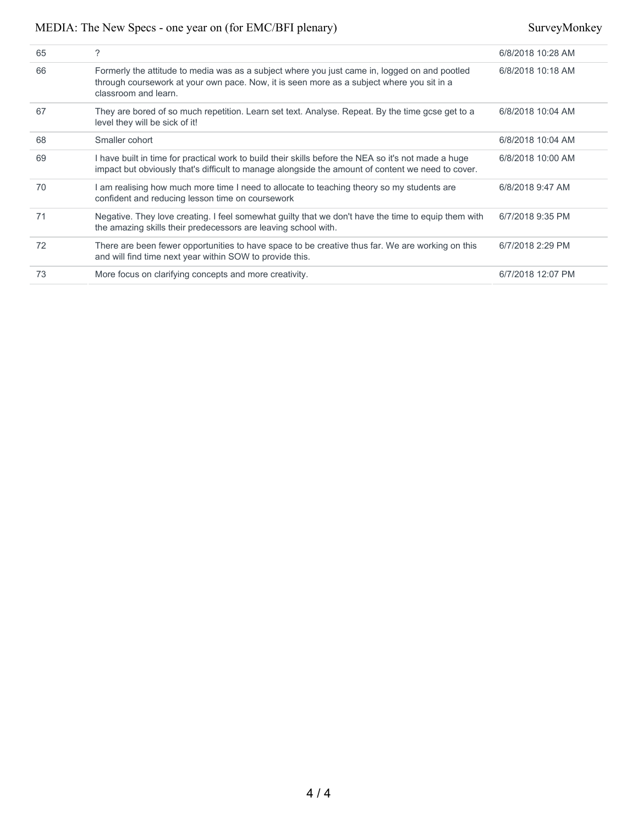| 65 | ?                                                                                                                                                                                                                  | 6/8/2018 10:28 AM |
|----|--------------------------------------------------------------------------------------------------------------------------------------------------------------------------------------------------------------------|-------------------|
| 66 | Formerly the attitude to media was as a subject where you just came in, logged on and pootled<br>through coursework at your own pace. Now, it is seen more as a subject where you sit in a<br>classroom and learn. | 6/8/2018 10:18 AM |
| 67 | They are bored of so much repetition. Learn set text. Analyse. Repeat. By the time gcse get to a<br>level they will be sick of it!                                                                                 | 6/8/2018 10:04 AM |
| 68 | Smaller cohort                                                                                                                                                                                                     | 6/8/2018 10:04 AM |
| 69 | I have built in time for practical work to build their skills before the NEA so it's not made a huge<br>impact but obviously that's difficult to manage alongside the amount of content we need to cover.          | 6/8/2018 10:00 AM |
| 70 | I am realising how much more time I need to allocate to teaching theory so my students are<br>confident and reducing lesson time on coursework                                                                     | 6/8/2018 9:47 AM  |
| 71 | Negative. They love creating. I feel somewhat guilty that we don't have the time to equip them with<br>the amazing skills their predecessors are leaving school with.                                              | 6/7/2018 9:35 PM  |
| 72 | There are been fewer opportunities to have space to be creative thus far. We are working on this<br>and will find time next year within SOW to provide this.                                                       | 6/7/2018 2:29 PM  |
| 73 | More focus on clarifying concepts and more creativity.                                                                                                                                                             | 6/7/2018 12:07 PM |
|    |                                                                                                                                                                                                                    |                   |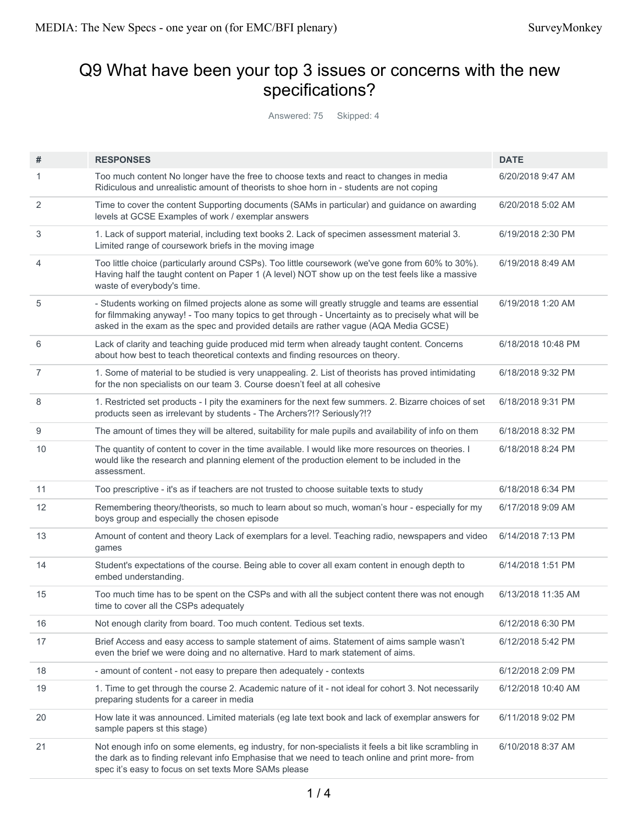# Q9 What have been your top 3 issues or concerns with the new specifications?

Answered: 75 Skipped: 4

| #              | <b>RESPONSES</b>                                                                                                                                                                                                                                                                                | <b>DATE</b>        |
|----------------|-------------------------------------------------------------------------------------------------------------------------------------------------------------------------------------------------------------------------------------------------------------------------------------------------|--------------------|
| 1              | Too much content No longer have the free to choose texts and react to changes in media<br>Ridiculous and unrealistic amount of theorists to shoe horn in - students are not coping                                                                                                              | 6/20/2018 9:47 AM  |
| 2              | Time to cover the content Supporting documents (SAMs in particular) and guidance on awarding<br>levels at GCSE Examples of work / exemplar answers                                                                                                                                              | 6/20/2018 5:02 AM  |
| 3              | 1. Lack of support material, including text books 2. Lack of specimen assessment material 3.<br>Limited range of coursework briefs in the moving image                                                                                                                                          | 6/19/2018 2:30 PM  |
| 4              | Too little choice (particularly around CSPs). Too little coursework (we've gone from 60% to 30%).<br>Having half the taught content on Paper 1 (A level) NOT show up on the test feels like a massive<br>waste of everybody's time.                                                             | 6/19/2018 8:49 AM  |
| 5              | - Students working on filmed projects alone as some will greatly struggle and teams are essential<br>for filmmaking anyway! - Too many topics to get through - Uncertainty as to precisely what will be<br>asked in the exam as the spec and provided details are rather vague (AQA Media GCSE) | 6/19/2018 1:20 AM  |
| 6              | Lack of clarity and teaching guide produced mid term when already taught content. Concerns<br>about how best to teach theoretical contexts and finding resources on theory.                                                                                                                     | 6/18/2018 10:48 PM |
| $\overline{7}$ | 1. Some of material to be studied is very unappealing. 2. List of theorists has proved intimidating<br>for the non specialists on our team 3. Course doesn't feel at all cohesive                                                                                                               | 6/18/2018 9:32 PM  |
| 8              | 1. Restricted set products - I pity the examiners for the next few summers. 2. Bizarre choices of set<br>products seen as irrelevant by students - The Archers?!? Seriously?!?                                                                                                                  | 6/18/2018 9:31 PM  |
| 9              | The amount of times they will be altered, suitability for male pupils and availability of info on them                                                                                                                                                                                          | 6/18/2018 8:32 PM  |
| 10             | The quantity of content to cover in the time available. I would like more resources on theories. I<br>would like the research and planning element of the production element to be included in the<br>assessment.                                                                               | 6/18/2018 8:24 PM  |
| 11             | Too prescriptive - it's as if teachers are not trusted to choose suitable texts to study                                                                                                                                                                                                        | 6/18/2018 6:34 PM  |
| 12             | Remembering theory/theorists, so much to learn about so much, woman's hour - especially for my<br>boys group and especially the chosen episode                                                                                                                                                  | 6/17/2018 9:09 AM  |
| 13             | Amount of content and theory Lack of exemplars for a level. Teaching radio, newspapers and video<br>games                                                                                                                                                                                       | 6/14/2018 7:13 PM  |
| 14             | Student's expectations of the course. Being able to cover all exam content in enough depth to<br>embed understanding.                                                                                                                                                                           | 6/14/2018 1:51 PM  |
| 15             | Too much time has to be spent on the CSPs and with all the subject content there was not enough<br>time to cover all the CSPs adequately                                                                                                                                                        | 6/13/2018 11:35 AM |
| 16             | Not enough clarity from board. Too much content. Tedious set texts.                                                                                                                                                                                                                             | 6/12/2018 6:30 PM  |
| 17             | Brief Access and easy access to sample statement of aims. Statement of aims sample wasn't<br>even the brief we were doing and no alternative. Hard to mark statement of aims.                                                                                                                   | 6/12/2018 5:42 PM  |
| 18             | - amount of content - not easy to prepare then adequately - contexts                                                                                                                                                                                                                            | 6/12/2018 2:09 PM  |
| 19             | 1. Time to get through the course 2. Academic nature of it - not ideal for cohort 3. Not necessarily<br>preparing students for a career in media                                                                                                                                                | 6/12/2018 10:40 AM |
| 20             | How late it was announced. Limited materials (eg late text book and lack of exemplar answers for<br>sample papers st this stage)                                                                                                                                                                | 6/11/2018 9:02 PM  |
| 21             | Not enough info on some elements, eg industry, for non-specialists it feels a bit like scrambling in<br>the dark as to finding relevant info Emphasise that we need to teach online and print more-from<br>spec it's easy to focus on set texts More SAMs please                                | 6/10/2018 8:37 AM  |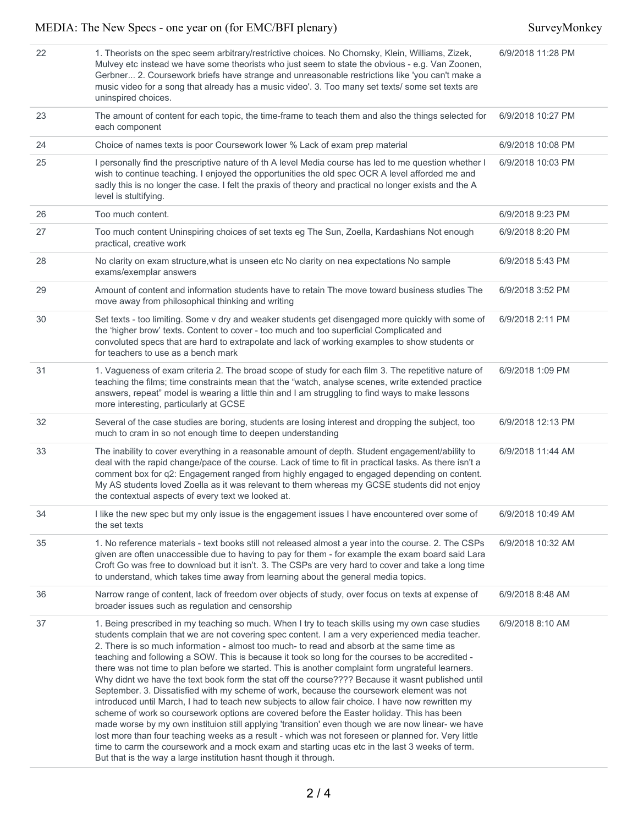| 22 | 1. Theorists on the spec seem arbitrary/restrictive choices. No Chomsky, Klein, Williams, Zizek,<br>Mulvey etc instead we have some theorists who just seem to state the obvious - e.g. Van Zoonen,<br>Gerbner 2. Coursework briefs have strange and unreasonable restrictions like 'you can't make a<br>music video for a song that already has a music video'. 3. Too many set texts/ some set texts are<br>uninspired choices.                                                                                                                                                                                                                                                                                                                                                                                                                                                                                                                                                                                                                                                                                                                                                                                                                                                                | 6/9/2018 11:28 PM |
|----|--------------------------------------------------------------------------------------------------------------------------------------------------------------------------------------------------------------------------------------------------------------------------------------------------------------------------------------------------------------------------------------------------------------------------------------------------------------------------------------------------------------------------------------------------------------------------------------------------------------------------------------------------------------------------------------------------------------------------------------------------------------------------------------------------------------------------------------------------------------------------------------------------------------------------------------------------------------------------------------------------------------------------------------------------------------------------------------------------------------------------------------------------------------------------------------------------------------------------------------------------------------------------------------------------|-------------------|
| 23 | The amount of content for each topic, the time-frame to teach them and also the things selected for<br>each component                                                                                                                                                                                                                                                                                                                                                                                                                                                                                                                                                                                                                                                                                                                                                                                                                                                                                                                                                                                                                                                                                                                                                                            | 6/9/2018 10:27 PM |
| 24 | Choice of names texts is poor Coursework lower % Lack of exam prep material                                                                                                                                                                                                                                                                                                                                                                                                                                                                                                                                                                                                                                                                                                                                                                                                                                                                                                                                                                                                                                                                                                                                                                                                                      | 6/9/2018 10:08 PM |
| 25 | I personally find the prescriptive nature of th A level Media course has led to me question whether I<br>wish to continue teaching. I enjoyed the opportunities the old spec OCR A level afforded me and<br>sadly this is no longer the case. I felt the praxis of theory and practical no longer exists and the A<br>level is stultifying.                                                                                                                                                                                                                                                                                                                                                                                                                                                                                                                                                                                                                                                                                                                                                                                                                                                                                                                                                      | 6/9/2018 10:03 PM |
| 26 | Too much content.                                                                                                                                                                                                                                                                                                                                                                                                                                                                                                                                                                                                                                                                                                                                                                                                                                                                                                                                                                                                                                                                                                                                                                                                                                                                                | 6/9/2018 9:23 PM  |
| 27 | Too much content Uninspiring choices of set texts eg The Sun, Zoella, Kardashians Not enough<br>practical, creative work                                                                                                                                                                                                                                                                                                                                                                                                                                                                                                                                                                                                                                                                                                                                                                                                                                                                                                                                                                                                                                                                                                                                                                         | 6/9/2018 8:20 PM  |
| 28 | No clarity on exam structure, what is unseen etc No clarity on nea expectations No sample<br>exams/exemplar answers                                                                                                                                                                                                                                                                                                                                                                                                                                                                                                                                                                                                                                                                                                                                                                                                                                                                                                                                                                                                                                                                                                                                                                              | 6/9/2018 5:43 PM  |
| 29 | Amount of content and information students have to retain The move toward business studies The<br>move away from philosophical thinking and writing                                                                                                                                                                                                                                                                                                                                                                                                                                                                                                                                                                                                                                                                                                                                                                                                                                                                                                                                                                                                                                                                                                                                              | 6/9/2018 3:52 PM  |
| 30 | Set texts - too limiting. Some v dry and weaker students get disengaged more quickly with some of<br>the 'higher brow' texts. Content to cover - too much and too superficial Complicated and<br>convoluted specs that are hard to extrapolate and lack of working examples to show students or<br>for teachers to use as a bench mark                                                                                                                                                                                                                                                                                                                                                                                                                                                                                                                                                                                                                                                                                                                                                                                                                                                                                                                                                           | 6/9/2018 2:11 PM  |
| 31 | 1. Vagueness of exam criteria 2. The broad scope of study for each film 3. The repetitive nature of<br>teaching the films; time constraints mean that the "watch, analyse scenes, write extended practice<br>answers, repeat" model is wearing a little thin and I am struggling to find ways to make lessons<br>more interesting, particularly at GCSE                                                                                                                                                                                                                                                                                                                                                                                                                                                                                                                                                                                                                                                                                                                                                                                                                                                                                                                                          | 6/9/2018 1:09 PM  |
| 32 | Several of the case studies are boring, students are losing interest and dropping the subject, too<br>much to cram in so not enough time to deepen understanding                                                                                                                                                                                                                                                                                                                                                                                                                                                                                                                                                                                                                                                                                                                                                                                                                                                                                                                                                                                                                                                                                                                                 | 6/9/2018 12:13 PM |
| 33 | The inability to cover everything in a reasonable amount of depth. Student engagement/ability to<br>deal with the rapid change/pace of the course. Lack of time to fit in practical tasks. As there isn't a<br>comment box for q2: Engagement ranged from highly engaged to engaged depending on content.<br>My AS students loved Zoella as it was relevant to them whereas my GCSE students did not enjoy<br>the contextual aspects of every text we looked at.                                                                                                                                                                                                                                                                                                                                                                                                                                                                                                                                                                                                                                                                                                                                                                                                                                 | 6/9/2018 11:44 AM |
| 34 | I like the new spec but my only issue is the engagement issues I have encountered over some of<br>the set texts                                                                                                                                                                                                                                                                                                                                                                                                                                                                                                                                                                                                                                                                                                                                                                                                                                                                                                                                                                                                                                                                                                                                                                                  | 6/9/2018 10:49 AM |
| 35 | 1. No reference materials - text books still not released almost a year into the course. 2. The CSPs<br>given are often unaccessible due to having to pay for them - for example the exam board said Lara<br>Croft Go was free to download but it isn't. 3. The CSPs are very hard to cover and take a long time<br>to understand, which takes time away from learning about the general media topics.                                                                                                                                                                                                                                                                                                                                                                                                                                                                                                                                                                                                                                                                                                                                                                                                                                                                                           | 6/9/2018 10:32 AM |
| 36 | Narrow range of content, lack of freedom over objects of study, over focus on texts at expense of<br>broader issues such as regulation and censorship                                                                                                                                                                                                                                                                                                                                                                                                                                                                                                                                                                                                                                                                                                                                                                                                                                                                                                                                                                                                                                                                                                                                            | 6/9/2018 8:48 AM  |
| 37 | 1. Being prescribed in my teaching so much. When I try to teach skills using my own case studies<br>students complain that we are not covering spec content. I am a very experienced media teacher.<br>2. There is so much information - almost too much- to read and absorb at the same time as<br>teaching and following a SOW. This is because it took so long for the courses to be accredited -<br>there was not time to plan before we started. This is another complaint form ungrateful learners.<br>Why didnt we have the text book form the stat off the course???? Because it wasnt published until<br>September. 3. Dissatisfied with my scheme of work, because the coursework element was not<br>introduced until March, I had to teach new subjects to allow fair choice. I have now rewritten my<br>scheme of work so coursework options are covered before the Easter holiday. This has been<br>made worse by my own instituion still applying 'transition' even though we are now linear- we have<br>lost more than four teaching weeks as a result - which was not foreseen or planned for. Very little<br>time to carm the coursework and a mock exam and starting ucas etc in the last 3 weeks of term.<br>But that is the way a large institution hasnt though it through. | 6/9/2018 8:10 AM  |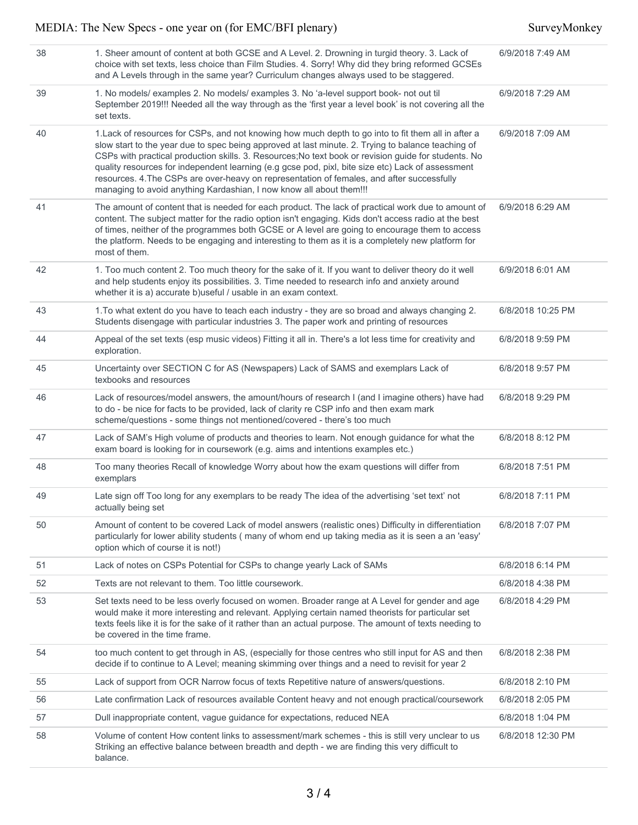| 38 | 1. Sheer amount of content at both GCSE and A Level. 2. Drowning in turgid theory. 3. Lack of<br>choice with set texts, less choice than Film Studies. 4. Sorry! Why did they bring reformed GCSEs<br>and A Levels through in the same year? Curriculum changes always used to be staggered.                                                                                                                                                                                                                                                                                                | 6/9/2018 7:49 AM  |
|----|---------------------------------------------------------------------------------------------------------------------------------------------------------------------------------------------------------------------------------------------------------------------------------------------------------------------------------------------------------------------------------------------------------------------------------------------------------------------------------------------------------------------------------------------------------------------------------------------|-------------------|
| 39 | 1. No models/ examples 2. No models/ examples 3. No 'a-level support book- not out til<br>September 2019!!! Needed all the way through as the 'first year a level book' is not covering all the<br>set texts.                                                                                                                                                                                                                                                                                                                                                                               | 6/9/2018 7:29 AM  |
| 40 | 1. Lack of resources for CSPs, and not knowing how much depth to go into to fit them all in after a<br>slow start to the year due to spec being approved at last minute. 2. Trying to balance teaching of<br>CSPs with practical production skills. 3. Resources; No text book or revision guide for students. No<br>quality resources for independent learning (e.g gcse pod, pixl, bite size etc) Lack of assessment<br>resources. 4. The CSPs are over-heavy on representation of females, and after successfully<br>managing to avoid anything Kardashian, I now know all about them!!! | 6/9/2018 7:09 AM  |
| 41 | The amount of content that is needed for each product. The lack of practical work due to amount of<br>content. The subject matter for the radio option isn't engaging. Kids don't access radio at the best<br>of times, neither of the programmes both GCSE or A level are going to encourage them to access<br>the platform. Needs to be engaging and interesting to them as it is a completely new platform for<br>most of them.                                                                                                                                                          | 6/9/2018 6:29 AM  |
| 42 | 1. Too much content 2. Too much theory for the sake of it. If you want to deliver theory do it well<br>and help students enjoy its possibilities. 3. Time needed to research info and anxiety around<br>whether it is a) accurate b) useful / usable in an exam context.                                                                                                                                                                                                                                                                                                                    | 6/9/2018 6:01 AM  |
| 43 | 1. To what extent do you have to teach each industry - they are so broad and always changing 2.<br>Students disengage with particular industries 3. The paper work and printing of resources                                                                                                                                                                                                                                                                                                                                                                                                | 6/8/2018 10:25 PM |
| 44 | Appeal of the set texts (esp music videos) Fitting it all in. There's a lot less time for creativity and<br>exploration.                                                                                                                                                                                                                                                                                                                                                                                                                                                                    | 6/8/2018 9:59 PM  |
| 45 | Uncertainty over SECTION C for AS (Newspapers) Lack of SAMS and exemplars Lack of<br>texbooks and resources                                                                                                                                                                                                                                                                                                                                                                                                                                                                                 | 6/8/2018 9:57 PM  |
| 46 | Lack of resources/model answers, the amount/hours of research I (and I imagine others) have had<br>to do - be nice for facts to be provided, lack of clarity re CSP info and then exam mark<br>scheme/questions - some things not mentioned/covered - there's too much                                                                                                                                                                                                                                                                                                                      | 6/8/2018 9:29 PM  |
| 47 | Lack of SAM's High volume of products and theories to learn. Not enough guidance for what the<br>exam board is looking for in coursework (e.g. aims and intentions examples etc.)                                                                                                                                                                                                                                                                                                                                                                                                           | 6/8/2018 8:12 PM  |
| 48 | Too many theories Recall of knowledge Worry about how the exam questions will differ from<br>exemplars                                                                                                                                                                                                                                                                                                                                                                                                                                                                                      | 6/8/2018 7:51 PM  |
| 49 | Late sign off Too long for any exemplars to be ready The idea of the advertising 'set text' not<br>actually being set                                                                                                                                                                                                                                                                                                                                                                                                                                                                       | 6/8/2018 7:11 PM  |
| 50 | Amount of content to be covered Lack of model answers (realistic ones) Difficulty in differentiation<br>particularly for lower ability students (many of whom end up taking media as it is seen a an 'easy'<br>option which of course it is not!)                                                                                                                                                                                                                                                                                                                                           | 6/8/2018 7:07 PM  |
| 51 | Lack of notes on CSPs Potential for CSPs to change yearly Lack of SAMs                                                                                                                                                                                                                                                                                                                                                                                                                                                                                                                      | 6/8/2018 6:14 PM  |
| 52 | Texts are not relevant to them. Too little coursework.                                                                                                                                                                                                                                                                                                                                                                                                                                                                                                                                      | 6/8/2018 4:38 PM  |
| 53 | Set texts need to be less overly focused on women. Broader range at A Level for gender and age<br>would make it more interesting and relevant. Applying certain named theorists for particular set<br>texts feels like it is for the sake of it rather than an actual purpose. The amount of texts needing to<br>be covered in the time frame.                                                                                                                                                                                                                                              | 6/8/2018 4:29 PM  |
| 54 | too much content to get through in AS, (especially for those centres who still input for AS and then<br>decide if to continue to A Level; meaning skimming over things and a need to revisit for year 2                                                                                                                                                                                                                                                                                                                                                                                     | 6/8/2018 2:38 PM  |
| 55 | Lack of support from OCR Narrow focus of texts Repetitive nature of answers/questions.                                                                                                                                                                                                                                                                                                                                                                                                                                                                                                      | 6/8/2018 2:10 PM  |
| 56 | Late confirmation Lack of resources available Content heavy and not enough practical/coursework                                                                                                                                                                                                                                                                                                                                                                                                                                                                                             | 6/8/2018 2:05 PM  |
| 57 | Dull inappropriate content, vague guidance for expectations, reduced NEA                                                                                                                                                                                                                                                                                                                                                                                                                                                                                                                    | 6/8/2018 1:04 PM  |
| 58 | Volume of content How content links to assessment/mark schemes - this is still very unclear to us<br>Striking an effective balance between breadth and depth - we are finding this very difficult to<br>balance.                                                                                                                                                                                                                                                                                                                                                                            | 6/8/2018 12:30 PM |